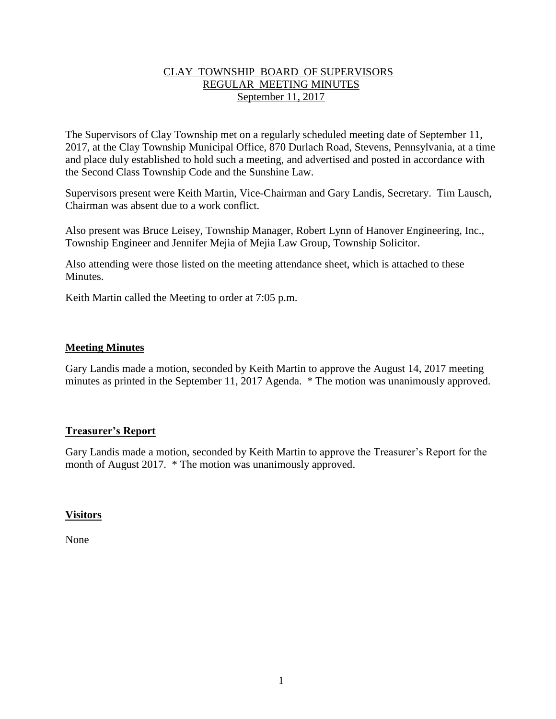# CLAY TOWNSHIP BOARD OF SUPERVISORS REGULAR MEETING MINUTES September 11, 2017

The Supervisors of Clay Township met on a regularly scheduled meeting date of September 11, 2017, at the Clay Township Municipal Office, 870 Durlach Road, Stevens, Pennsylvania, at a time and place duly established to hold such a meeting, and advertised and posted in accordance with the Second Class Township Code and the Sunshine Law.

Supervisors present were Keith Martin, Vice-Chairman and Gary Landis, Secretary. Tim Lausch, Chairman was absent due to a work conflict.

Also present was Bruce Leisey, Township Manager, Robert Lynn of Hanover Engineering, Inc., Township Engineer and Jennifer Mejia of Mejia Law Group, Township Solicitor.

Also attending were those listed on the meeting attendance sheet, which is attached to these **Minutes** 

Keith Martin called the Meeting to order at 7:05 p.m.

## **Meeting Minutes**

Gary Landis made a motion, seconded by Keith Martin to approve the August 14, 2017 meeting minutes as printed in the September 11, 2017 Agenda. \* The motion was unanimously approved.

## **Treasurer's Report**

Gary Landis made a motion, seconded by Keith Martin to approve the Treasurer's Report for the month of August 2017. \* The motion was unanimously approved.

## **Visitors**

None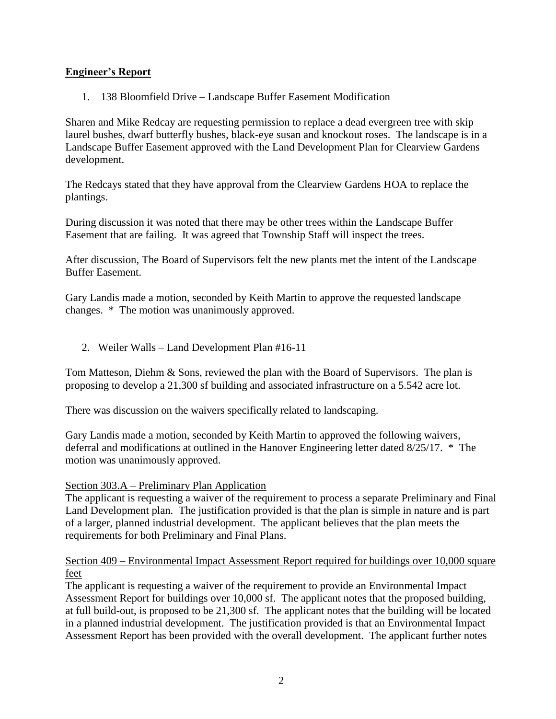# **Engineer's Report**

1. 138 Bloomfield Drive – Landscape Buffer Easement Modification

Sharen and Mike Redcay are requesting permission to replace a dead evergreen tree with skip laurel bushes, dwarf butterfly bushes, black-eye susan and knockout roses. The landscape is in a Landscape Buffer Easement approved with the Land Development Plan for Clearview Gardens development.

The Redcays stated that they have approval from the Clearview Gardens HOA to replace the plantings.

During discussion it was noted that there may be other trees within the Landscape Buffer Easement that are failing. It was agreed that Township Staff will inspect the trees.

After discussion, The Board of Supervisors felt the new plants met the intent of the Landscape Buffer Easement.

Gary Landis made a motion, seconded by Keith Martin to approve the requested landscape changes. \* The motion was unanimously approved.

2. Weiler Walls – Land Development Plan #16-11

Tom Matteson, Diehm & Sons, reviewed the plan with the Board of Supervisors. The plan is proposing to develop a 21,300 sf building and associated infrastructure on a 5.542 acre lot.

There was discussion on the waivers specifically related to landscaping.

Gary Landis made a motion, seconded by Keith Martin to approved the following waivers, deferral and modifications at outlined in the Hanover Engineering letter dated 8/25/17. \* The motion was unanimously approved.

## Section 303.A – Preliminary Plan Application

The applicant is requesting a waiver of the requirement to process a separate Preliminary and Final Land Development plan. The justification provided is that the plan is simple in nature and is part of a larger, planned industrial development. The applicant believes that the plan meets the requirements for both Preliminary and Final Plans.

## Section 409 – Environmental Impact Assessment Report required for buildings over 10,000 square feet

The applicant is requesting a waiver of the requirement to provide an Environmental Impact Assessment Report for buildings over 10,000 sf. The applicant notes that the proposed building, at full build-out, is proposed to be 21,300 sf. The applicant notes that the building will be located in a planned industrial development. The justification provided is that an Environmental Impact Assessment Report has been provided with the overall development. The applicant further notes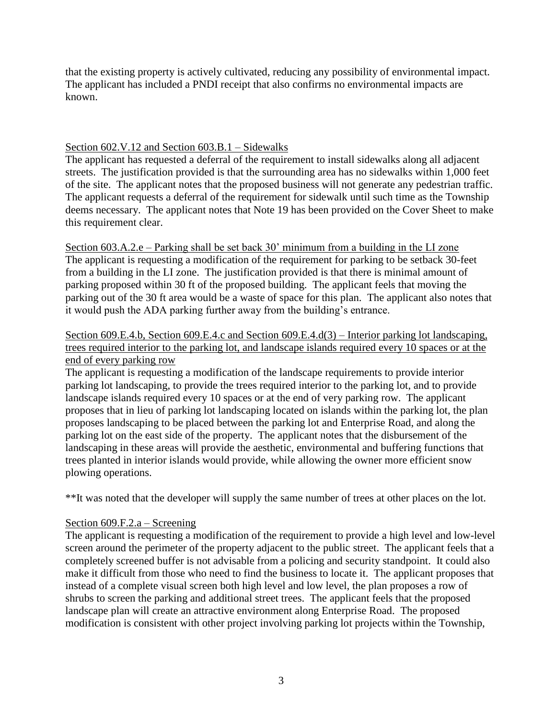that the existing property is actively cultivated, reducing any possibility of environmental impact. The applicant has included a PNDI receipt that also confirms no environmental impacts are known.

# Section 602.V.12 and Section 603.B.1 – Sidewalks

The applicant has requested a deferral of the requirement to install sidewalks along all adjacent streets. The justification provided is that the surrounding area has no sidewalks within 1,000 feet of the site. The applicant notes that the proposed business will not generate any pedestrian traffic. The applicant requests a deferral of the requirement for sidewalk until such time as the Township deems necessary. The applicant notes that Note 19 has been provided on the Cover Sheet to make this requirement clear.

Section 603.A.2.e – Parking shall be set back 30' minimum from a building in the LI zone The applicant is requesting a modification of the requirement for parking to be setback 30-feet from a building in the LI zone. The justification provided is that there is minimal amount of parking proposed within 30 ft of the proposed building. The applicant feels that moving the parking out of the 30 ft area would be a waste of space for this plan. The applicant also notes that it would push the ADA parking further away from the building's entrance.

# Section 609.E.4.b, Section 609.E.4.c and Section 609.E.4.d(3) – Interior parking lot landscaping, trees required interior to the parking lot, and landscape islands required every 10 spaces or at the end of every parking row

The applicant is requesting a modification of the landscape requirements to provide interior parking lot landscaping, to provide the trees required interior to the parking lot, and to provide landscape islands required every 10 spaces or at the end of very parking row. The applicant proposes that in lieu of parking lot landscaping located on islands within the parking lot, the plan proposes landscaping to be placed between the parking lot and Enterprise Road, and along the parking lot on the east side of the property. The applicant notes that the disbursement of the landscaping in these areas will provide the aesthetic, environmental and buffering functions that trees planted in interior islands would provide, while allowing the owner more efficient snow plowing operations.

\*\*It was noted that the developer will supply the same number of trees at other places on the lot.

## Section 609.F.2.a – Screening

The applicant is requesting a modification of the requirement to provide a high level and low-level screen around the perimeter of the property adjacent to the public street. The applicant feels that a completely screened buffer is not advisable from a policing and security standpoint. It could also make it difficult from those who need to find the business to locate it. The applicant proposes that instead of a complete visual screen both high level and low level, the plan proposes a row of shrubs to screen the parking and additional street trees. The applicant feels that the proposed landscape plan will create an attractive environment along Enterprise Road. The proposed modification is consistent with other project involving parking lot projects within the Township,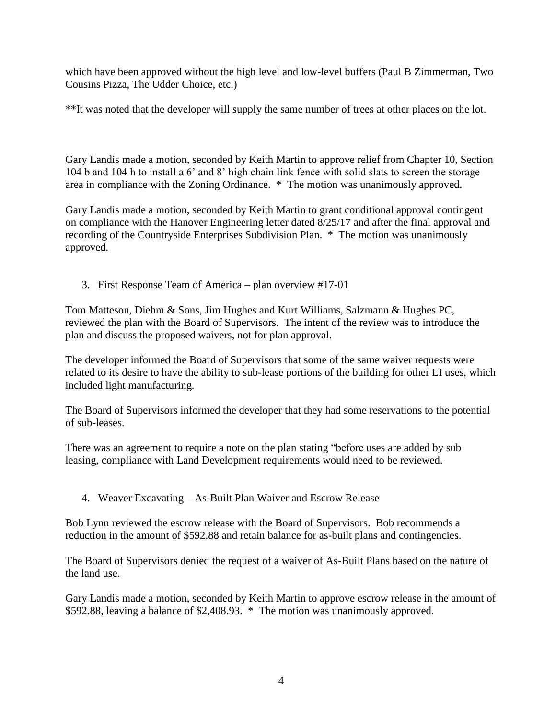which have been approved without the high level and low-level buffers (Paul B Zimmerman, Two Cousins Pizza, The Udder Choice, etc.)

\*\*It was noted that the developer will supply the same number of trees at other places on the lot.

Gary Landis made a motion, seconded by Keith Martin to approve relief from Chapter 10, Section 104 b and 104 h to install a 6' and 8' high chain link fence with solid slats to screen the storage area in compliance with the Zoning Ordinance. \* The motion was unanimously approved.

Gary Landis made a motion, seconded by Keith Martin to grant conditional approval contingent on compliance with the Hanover Engineering letter dated 8/25/17 and after the final approval and recording of the Countryside Enterprises Subdivision Plan. \* The motion was unanimously approved.

3. First Response Team of America – plan overview #17-01

Tom Matteson, Diehm & Sons, Jim Hughes and Kurt Williams, Salzmann & Hughes PC, reviewed the plan with the Board of Supervisors. The intent of the review was to introduce the plan and discuss the proposed waivers, not for plan approval.

The developer informed the Board of Supervisors that some of the same waiver requests were related to its desire to have the ability to sub-lease portions of the building for other LI uses, which included light manufacturing.

The Board of Supervisors informed the developer that they had some reservations to the potential of sub-leases.

There was an agreement to require a note on the plan stating "before uses are added by sub leasing, compliance with Land Development requirements would need to be reviewed.

4. Weaver Excavating – As-Built Plan Waiver and Escrow Release

Bob Lynn reviewed the escrow release with the Board of Supervisors. Bob recommends a reduction in the amount of \$592.88 and retain balance for as-built plans and contingencies.

The Board of Supervisors denied the request of a waiver of As-Built Plans based on the nature of the land use.

Gary Landis made a motion, seconded by Keith Martin to approve escrow release in the amount of \$592.88, leaving a balance of \$2,408.93. \* The motion was unanimously approved.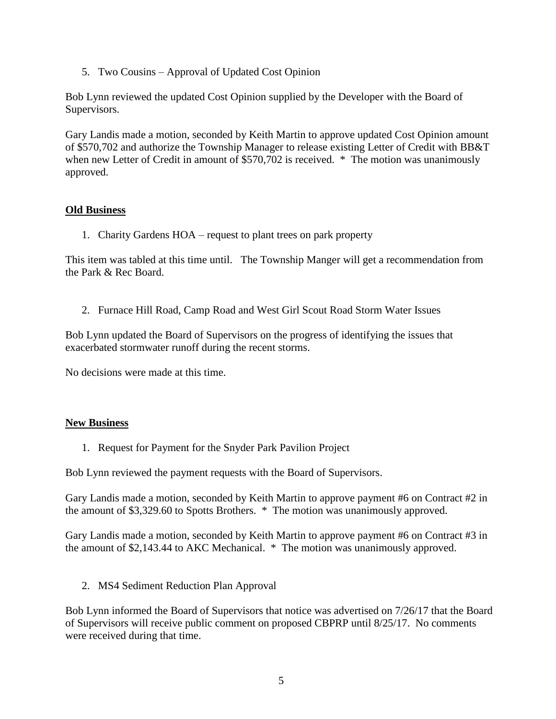5. Two Cousins – Approval of Updated Cost Opinion

Bob Lynn reviewed the updated Cost Opinion supplied by the Developer with the Board of Supervisors.

Gary Landis made a motion, seconded by Keith Martin to approve updated Cost Opinion amount of \$570,702 and authorize the Township Manager to release existing Letter of Credit with BB&T when new Letter of Credit in amount of \$570,702 is received. \* The motion was unanimously approved.

## **Old Business**

1. Charity Gardens HOA – request to plant trees on park property

This item was tabled at this time until. The Township Manger will get a recommendation from the Park & Rec Board.

2. Furnace Hill Road, Camp Road and West Girl Scout Road Storm Water Issues

Bob Lynn updated the Board of Supervisors on the progress of identifying the issues that exacerbated stormwater runoff during the recent storms.

No decisions were made at this time.

## **New Business**

1. Request for Payment for the Snyder Park Pavilion Project

Bob Lynn reviewed the payment requests with the Board of Supervisors.

Gary Landis made a motion, seconded by Keith Martin to approve payment #6 on Contract #2 in the amount of \$3,329.60 to Spotts Brothers. \* The motion was unanimously approved.

Gary Landis made a motion, seconded by Keith Martin to approve payment #6 on Contract #3 in the amount of \$2,143.44 to AKC Mechanical. \* The motion was unanimously approved.

2. MS4 Sediment Reduction Plan Approval

Bob Lynn informed the Board of Supervisors that notice was advertised on 7/26/17 that the Board of Supervisors will receive public comment on proposed CBPRP until 8/25/17. No comments were received during that time.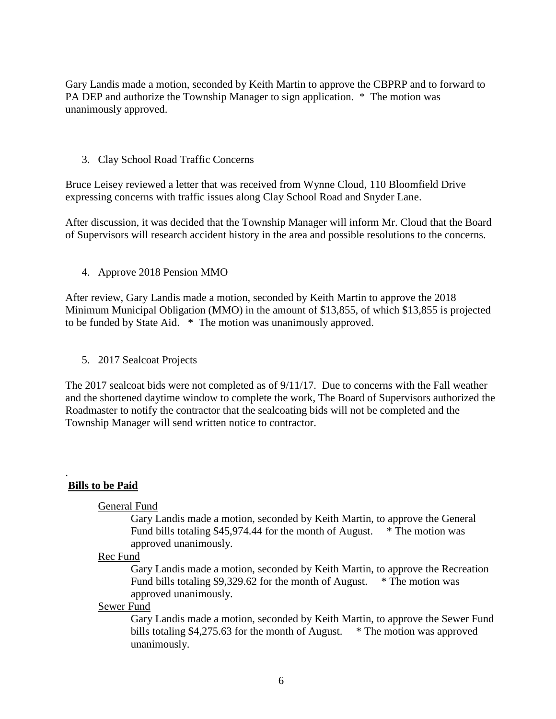Gary Landis made a motion, seconded by Keith Martin to approve the CBPRP and to forward to PA DEP and authorize the Township Manager to sign application. \* The motion was unanimously approved.

#### 3. Clay School Road Traffic Concerns

Bruce Leisey reviewed a letter that was received from Wynne Cloud, 110 Bloomfield Drive expressing concerns with traffic issues along Clay School Road and Snyder Lane.

After discussion, it was decided that the Township Manager will inform Mr. Cloud that the Board of Supervisors will research accident history in the area and possible resolutions to the concerns.

#### 4. Approve 2018 Pension MMO

After review, Gary Landis made a motion, seconded by Keith Martin to approve the 2018 Minimum Municipal Obligation (MMO) in the amount of \$13,855, of which \$13,855 is projected to be funded by State Aid. \* The motion was unanimously approved.

5. 2017 Sealcoat Projects

The 2017 sealcoat bids were not completed as of 9/11/17. Due to concerns with the Fall weather and the shortened daytime window to complete the work, The Board of Supervisors authorized the Roadmaster to notify the contractor that the sealcoating bids will not be completed and the Township Manager will send written notice to contractor.

#### . **Bills to be Paid**

#### General Fund

Gary Landis made a motion, seconded by Keith Martin, to approve the General Fund bills totaling \$45,974.44 for the month of August. \* The motion was approved unanimously.

#### Rec Fund

Gary Landis made a motion, seconded by Keith Martin, to approve the Recreation Fund bills totaling \$9,329.62 for the month of August. \* The motion was approved unanimously.

#### Sewer Fund

Gary Landis made a motion, seconded by Keith Martin, to approve the Sewer Fund bills totaling \$4,275.63 for the month of August. \* The motion was approved unanimously.